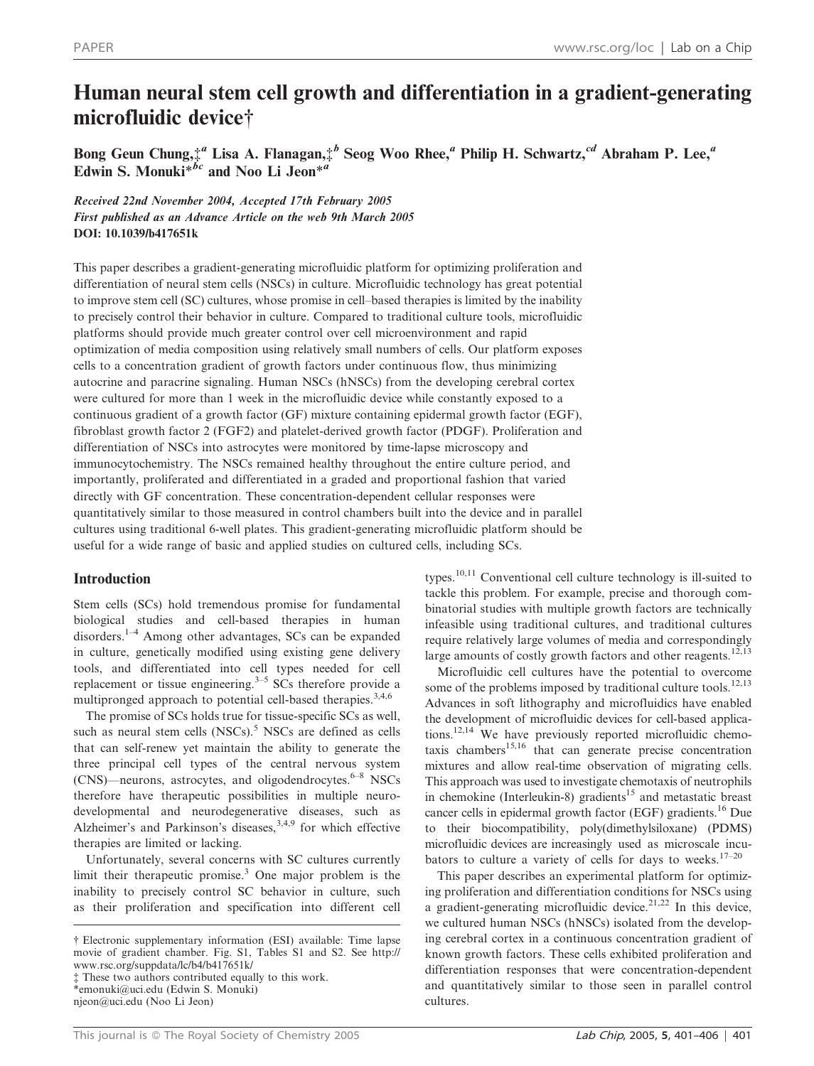# Human neural stem cell growth and differentiation in a gradient-generating microfluidic device†

Bong Geun Chung, ${}^{4a}_{\tau}$  Lisa A. Flanagan, ${}^{4b}_{\tau}$  Seog Woo Rhee,<sup>a</sup> Philip H. Schwartz,<sup>cd</sup> Abraham P. Lee,<sup>a</sup> Edwin S. Monuki $*^{bc}$  and Noo Li Jeon $*^{ab}$ 

Received 22nd November 2004, Accepted 17th February 2005 First published as an Advance Article on the web 9th March 2005 DOI: 10.1039/b417651k

This paper describes a gradient-generating microfluidic platform for optimizing proliferation and differentiation of neural stem cells (NSCs) in culture. Microfluidic technology has great potential to improve stem cell (SC) cultures, whose promise in cell–based therapies is limited by the inability to precisely control their behavior in culture. Compared to traditional culture tools, microfluidic platforms should provide much greater control over cell microenvironment and rapid optimization of media composition using relatively small numbers of cells. Our platform exposes cells to a concentration gradient of growth factors under continuous flow, thus minimizing autocrine and paracrine signaling. Human NSCs (hNSCs) from the developing cerebral cortex were cultured for more than 1 week in the microfluidic device while constantly exposed to a continuous gradient of a growth factor (GF) mixture containing epidermal growth factor (EGF), fibroblast growth factor 2 (FGF2) and platelet-derived growth factor (PDGF). Proliferation and differentiation of NSCs into astrocytes were monitored by time-lapse microscopy and immunocytochemistry. The NSCs remained healthy throughout the entire culture period, and importantly, proliferated and differentiated in a graded and proportional fashion that varied directly with GF concentration. These concentration-dependent cellular responses were quantitatively similar to those measured in control chambers built into the device and in parallel cultures using traditional 6-well plates. This gradient-generating microfluidic platform should be useful for a wide range of basic and applied studies on cultured cells, including SCs.

# Introduction

Stem cells (SCs) hold tremendous promise for fundamental biological studies and cell-based therapies in human disorders.1–4 Among other advantages, SCs can be expanded in culture, genetically modified using existing gene delivery tools, and differentiated into cell types needed for cell replacement or tissue engineering.<sup>3–5</sup> SCs therefore provide a multipronged approach to potential cell-based therapies.<sup>3,4,6</sup>

The promise of SCs holds true for tissue-specific SCs as well, such as neural stem cells (NSCs).<sup>5</sup> NSCs are defined as cells that can self-renew yet maintain the ability to generate the three principal cell types of the central nervous system  $(CNS)$ —neurons, astrocytes, and oligodendrocytes.<sup>6–8</sup> NSCs therefore have therapeutic possibilities in multiple neurodevelopmental and neurodegenerative diseases, such as Alzheimer's and Parkinson's diseases,  $3,4,9$  for which effective therapies are limited or lacking.

Unfortunately, several concerns with SC cultures currently limit their therapeutic promise.<sup>3</sup> One major problem is the inability to precisely control SC behavior in culture, such as their proliferation and specification into different cell types.<sup>10,11</sup> Conventional cell culture technology is ill-suited to tackle this problem. For example, precise and thorough combinatorial studies with multiple growth factors are technically infeasible using traditional cultures, and traditional cultures require relatively large volumes of media and correspondingly large amounts of costly growth factors and other reagents.<sup>12,13</sup>

Microfluidic cell cultures have the potential to overcome some of the problems imposed by traditional culture tools.<sup>12,13</sup> Advances in soft lithography and microfluidics have enabled the development of microfluidic devices for cell-based applications.12,14 We have previously reported microfluidic chemotaxis chambers<sup>15,16</sup> that can generate precise concentration mixtures and allow real-time observation of migrating cells. This approach was used to investigate chemotaxis of neutrophils in chemokine (Interleukin-8) gradients<sup>15</sup> and metastatic breast cancer cells in epidermal growth factor (EGF) gradients.16 Due to their biocompatibility, poly(dimethylsiloxane) (PDMS) microfluidic devices are increasingly used as microscale incubators to culture a variety of cells for days to weeks.<sup>17–20</sup>

This paper describes an experimental platform for optimizing proliferation and differentiation conditions for NSCs using a gradient-generating microfluidic device.<sup>21,22</sup> In this device, we cultured human NSCs (hNSCs) isolated from the developing cerebral cortex in a continuous concentration gradient of known growth factors. These cells exhibited proliferation and differentiation responses that were concentration-dependent and quantitatively similar to those seen in parallel control cultures.

<sup>{</sup> Electronic supplementary information (ESI) available: Time lapse movie of gradient chamber. Fig. S1, Tables S1 and S2. See http:// www.rsc.org/suppdata/lc/b4/b417651k/

<sup>{</sup> These two authors contributed equally to this work. \*emonuki@uci.edu (Edwin S. Monuki)

njeon@uci.edu (Noo Li Jeon)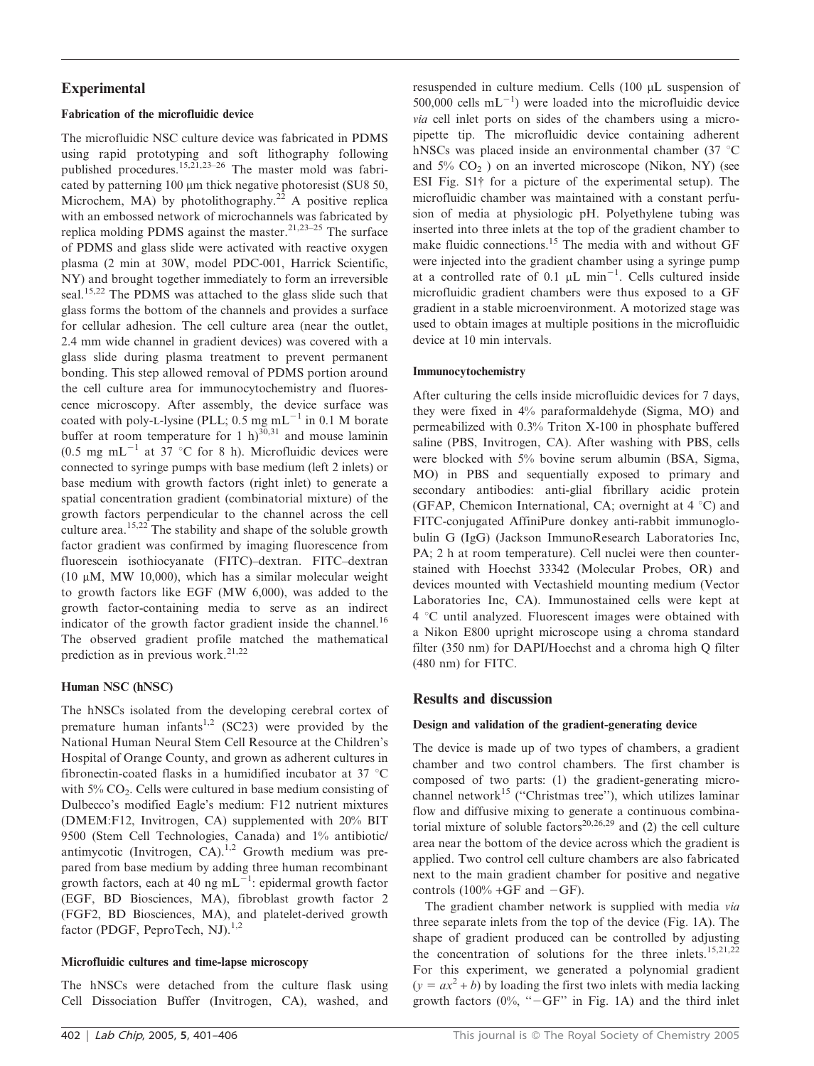# Experimental

# Fabrication of the microfluidic device

The microfluidic NSC culture device was fabricated in PDMS using rapid prototyping and soft lithography following published procedures.15,21,23–26 The master mold was fabricated by patterning 100 µm thick negative photoresist (SU8 50, Microchem, MA) by photolithography.<sup>22</sup> A positive replica with an embossed network of microchannels was fabricated by replica molding PDMS against the master.<sup>21,23–25</sup> The surface of PDMS and glass slide were activated with reactive oxygen plasma (2 min at 30W, model PDC-001, Harrick Scientific, NY) and brought together immediately to form an irreversible seal.<sup>15,22</sup> The PDMS was attached to the glass slide such that glass forms the bottom of the channels and provides a surface for cellular adhesion. The cell culture area (near the outlet, 2.4 mm wide channel in gradient devices) was covered with a glass slide during plasma treatment to prevent permanent bonding. This step allowed removal of PDMS portion around the cell culture area for immunocytochemistry and fluorescence microscopy. After assembly, the device surface was coated with poly-L-lysine (PLL;  $0.5 \text{ mg} \text{ mL}^{-1}$  in 0.1 M borate buffer at room temperature for 1 h)<sup>30,31</sup> and mouse laminin  $(0.5 \text{ mg } \text{mL}^{-1}$  at 37 °C for 8 h). Microfluidic devices were connected to syringe pumps with base medium (left 2 inlets) or base medium with growth factors (right inlet) to generate a spatial concentration gradient (combinatorial mixture) of the growth factors perpendicular to the channel across the cell culture area.<sup>15,22</sup> The stability and shape of the soluble growth factor gradient was confirmed by imaging fluorescence from fluorescein isothiocyanate (FITC)–dextran. FITC–dextran (10  $\mu$ M, MW 10,000), which has a similar molecular weight to growth factors like EGF (MW 6,000), was added to the growth factor-containing media to serve as an indirect indicator of the growth factor gradient inside the channel.<sup>16</sup> The observed gradient profile matched the mathematical prediction as in previous work. $21,22$ 

# Human NSC (hNSC)

The hNSCs isolated from the developing cerebral cortex of premature human infants<sup>1,2</sup> (SC23) were provided by the National Human Neural Stem Cell Resource at the Children's Hospital of Orange County, and grown as adherent cultures in fibronectin-coated flasks in a humidified incubator at 37  $\degree$ C with  $5\%$  CO<sub>2</sub>. Cells were cultured in base medium consisting of Dulbecco's modified Eagle's medium: F12 nutrient mixtures (DMEM:F12, Invitrogen, CA) supplemented with 20% BIT 9500 (Stem Cell Technologies, Canada) and 1% antibiotic/ antimycotic (Invitrogen, CA).<sup>1,2</sup> Growth medium was prepared from base medium by adding three human recombinant growth factors, each at 40 ng mL<sup> $-1$ </sup>: epidermal growth factor (EGF, BD Biosciences, MA), fibroblast growth factor 2 (FGF2, BD Biosciences, MA), and platelet-derived growth factor (PDGF, PeproTech, NJ).<sup>1,2</sup>

# Microfluidic cultures and time-lapse microscopy

The hNSCs were detached from the culture flask using Cell Dissociation Buffer (Invitrogen, CA), washed, and resuspended in culture medium. Cells (100 µL suspension of 500,000 cells  $mL^{-1}$ ) were loaded into the microfluidic device via cell inlet ports on sides of the chambers using a micropipette tip. The microfluidic device containing adherent hNSCs was placed inside an environmental chamber (37 $°C$ and  $5\%$  CO<sub>2</sub>) on an inverted microscope (Nikon, NY) (see ESI Fig. S1{ for a picture of the experimental setup). The microfluidic chamber was maintained with a constant perfusion of media at physiologic pH. Polyethylene tubing was inserted into three inlets at the top of the gradient chamber to make fluidic connections.<sup>15</sup> The media with and without GF were injected into the gradient chamber using a syringe pump at a controlled rate of 0.1  $\mu$ L min<sup>-1</sup>. Cells cultured inside microfluidic gradient chambers were thus exposed to a GF gradient in a stable microenvironment. A motorized stage was used to obtain images at multiple positions in the microfluidic device at 10 min intervals.

# Immunocytochemistry

After culturing the cells inside microfluidic devices for 7 days, they were fixed in 4% paraformaldehyde (Sigma, MO) and permeabilized with 0.3% Triton X-100 in phosphate buffered saline (PBS, Invitrogen, CA). After washing with PBS, cells were blocked with 5% bovine serum albumin (BSA, Sigma, MO) in PBS and sequentially exposed to primary and secondary antibodies: anti-glial fibrillary acidic protein (GFAP, Chemicon International, CA; overnight at  $4 °C$ ) and FITC-conjugated AffiniPure donkey anti-rabbit immunoglobulin G (IgG) (Jackson ImmunoResearch Laboratories Inc, PA; 2 h at room temperature). Cell nuclei were then counterstained with Hoechst 33342 (Molecular Probes, OR) and devices mounted with Vectashield mounting medium (Vector Laboratories Inc, CA). Immunostained cells were kept at  $4 °C$  until analyzed. Fluorescent images were obtained with a Nikon E800 upright microscope using a chroma standard filter (350 nm) for DAPI/Hoechst and a chroma high Q filter (480 nm) for FITC.

# Results and discussion

## Design and validation of the gradient-generating device

The device is made up of two types of chambers, a gradient chamber and two control chambers. The first chamber is composed of two parts: (1) the gradient-generating microchannel network<sup>15</sup> ("Christmas tree"), which utilizes laminar flow and diffusive mixing to generate a continuous combinatorial mixture of soluble factors<sup>20,26,29</sup> and (2) the cell culture area near the bottom of the device across which the gradient is applied. Two control cell culture chambers are also fabricated next to the main gradient chamber for positive and negative controls  $(100\% + GF$  and  $-GF)$ .

The gradient chamber network is supplied with media via three separate inlets from the top of the device (Fig. 1A). The shape of gradient produced can be controlled by adjusting the concentration of solutions for the three inlets.<sup>15,21,22</sup> For this experiment, we generated a polynomial gradient  $(y = ax^2 + b)$  by loading the first two inlets with media lacking growth factors  $(0\%, -GF'$  in Fig. 1A) and the third inlet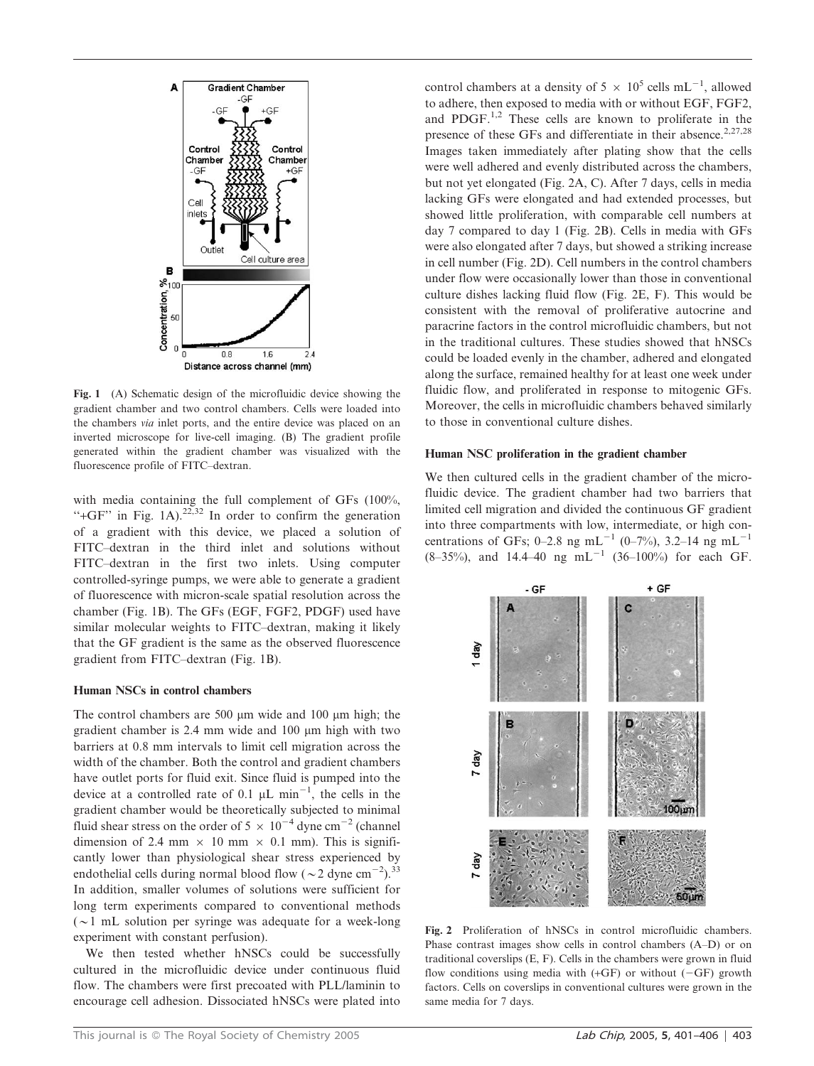

Fig. 1 (A) Schematic design of the microfluidic device showing the gradient chamber and two control chambers. Cells were loaded into the chambers via inlet ports, and the entire device was placed on an inverted microscope for live-cell imaging. (B) The gradient profile generated within the gradient chamber was visualized with the fluorescence profile of FITC–dextran.

with media containing the full complement of GFs (100%, "+GF" in Fig. 1A). $22,32$  In order to confirm the generation of a gradient with this device, we placed a solution of FITC–dextran in the third inlet and solutions without FITC–dextran in the first two inlets. Using computer controlled-syringe pumps, we were able to generate a gradient of fluorescence with micron-scale spatial resolution across the chamber (Fig. 1B). The GFs (EGF, FGF2, PDGF) used have similar molecular weights to FITC–dextran, making it likely that the GF gradient is the same as the observed fluorescence gradient from FITC–dextran (Fig. 1B).

#### Human NSCs in control chambers

The control chambers are 500  $\mu$ m wide and 100  $\mu$ m high; the gradient chamber is 2.4 mm wide and 100 µm high with two barriers at 0.8 mm intervals to limit cell migration across the width of the chamber. Both the control and gradient chambers have outlet ports for fluid exit. Since fluid is pumped into the device at a controlled rate of 0.1  $\mu$ L min<sup>-1</sup>, the cells in the gradient chamber would be theoretically subjected to minimal fluid shear stress on the order of  $5 \times 10^{-4}$  dyne cm<sup>-2</sup> (channel dimension of 2.4 mm  $\times$  10 mm  $\times$  0.1 mm). This is significantly lower than physiological shear stress experienced by endothelial cells during normal blood flow ( $\sim$ 2 dyne cm<sup>-2</sup>).<sup>33</sup> In addition, smaller volumes of solutions were sufficient for long term experiments compared to conventional methods ( $\sim$ 1 mL solution per syringe was adequate for a week-long experiment with constant perfusion).

We then tested whether hNSCs could be successfully cultured in the microfluidic device under continuous fluid flow. The chambers were first precoated with PLL/laminin to encourage cell adhesion. Dissociated hNSCs were plated into

control chambers at a density of  $5 \times 10^5$  cells mL<sup>-1</sup>, allowed to adhere, then exposed to media with or without EGF, FGF2, and PDGF.<sup>1,2</sup> These cells are known to proliferate in the presence of these GFs and differentiate in their absence.<sup>2,27,28</sup> Images taken immediately after plating show that the cells were well adhered and evenly distributed across the chambers, but not yet elongated (Fig. 2A, C). After 7 days, cells in media lacking GFs were elongated and had extended processes, but showed little proliferation, with comparable cell numbers at day 7 compared to day 1 (Fig. 2B). Cells in media with GFs were also elongated after 7 days, but showed a striking increase in cell number (Fig. 2D). Cell numbers in the control chambers under flow were occasionally lower than those in conventional culture dishes lacking fluid flow (Fig. 2E, F). This would be consistent with the removal of proliferative autocrine and paracrine factors in the control microfluidic chambers, but not in the traditional cultures. These studies showed that hNSCs could be loaded evenly in the chamber, adhered and elongated along the surface, remained healthy for at least one week under fluidic flow, and proliferated in response to mitogenic GFs. Moreover, the cells in microfluidic chambers behaved similarly to those in conventional culture dishes.

#### Human NSC proliferation in the gradient chamber

We then cultured cells in the gradient chamber of the microfluidic device. The gradient chamber had two barriers that limited cell migration and divided the continuous GF gradient into three compartments with low, intermediate, or high concentrations of GFs; 0–2.8 ng mL<sup>-1</sup> (0–7%), 3.2–14 ng mL<sup>-1</sup>  $(8-35\%)$ , and 14.4-40 ng mL<sup>-1</sup> (36-100%) for each GF.



Fig. 2 Proliferation of hNSCs in control microfluidic chambers. Phase contrast images show cells in control chambers (A–D) or on traditional coverslips (E, F). Cells in the chambers were grown in fluid flow conditions using media with  $(+GF)$  or without  $(-GF)$  growth factors. Cells on coverslips in conventional cultures were grown in the same media for 7 days.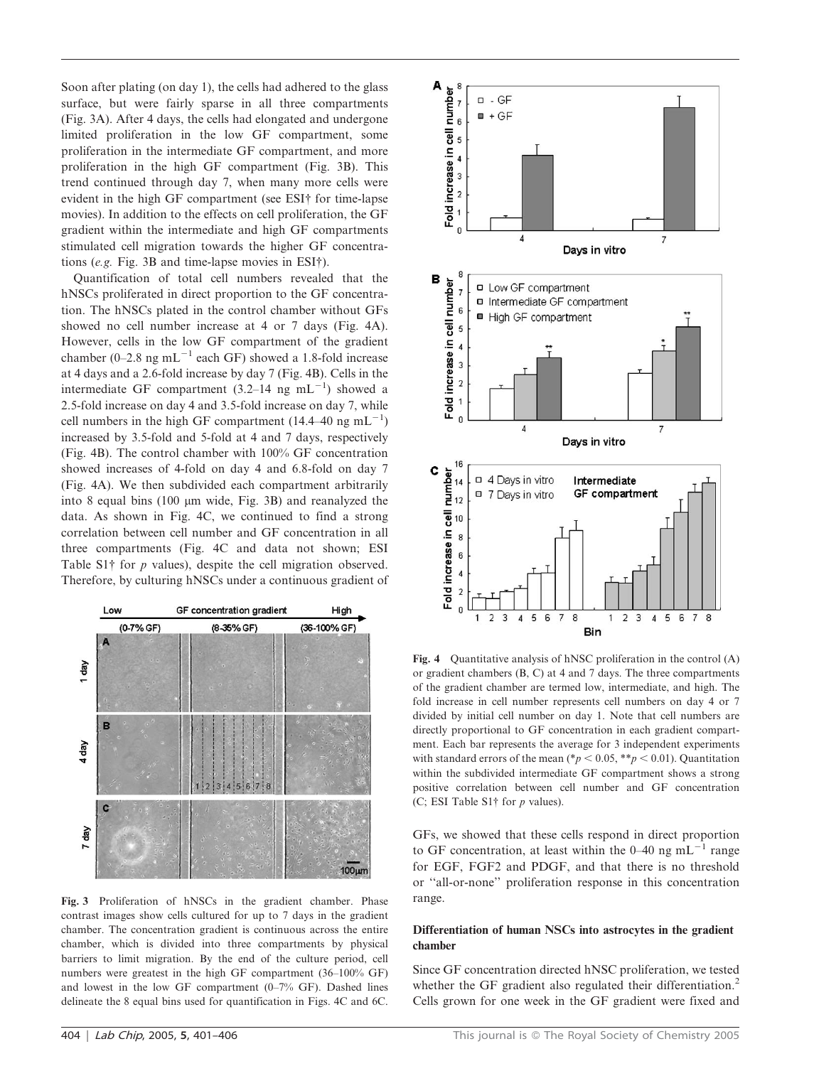Soon after plating (on day 1), the cells had adhered to the glass surface, but were fairly sparse in all three compartments (Fig. 3A). After 4 days, the cells had elongated and undergone limited proliferation in the low GF compartment, some proliferation in the intermediate GF compartment, and more proliferation in the high GF compartment (Fig. 3B). This trend continued through day 7, when many more cells were evident in the high GF compartment (see ESI† for time-lapse movies). In addition to the effects on cell proliferation, the GF gradient within the intermediate and high GF compartments stimulated cell migration towards the higher GF concentrations (e.g. Fig. 3B and time-lapse movies in ESI $\dagger$ ).

Quantification of total cell numbers revealed that the hNSCs proliferated in direct proportion to the GF concentration. The hNSCs plated in the control chamber without GFs showed no cell number increase at 4 or 7 days (Fig. 4A). However, cells in the low GF compartment of the gradient chamber (0–2.8 ng mL<sup>-1</sup> each GF) showed a 1.8-fold increase at 4 days and a 2.6-fold increase by day 7 (Fig. 4B). Cells in the intermediate GF compartment  $(3.2-14 \text{ ng } mL^{-1})$  showed a 2.5-fold increase on day 4 and 3.5-fold increase on day 7, while cell numbers in the high GF compartment  $(14.4-40 \text{ ng } \text{mL}^{-1})$ increased by 3.5-fold and 5-fold at 4 and 7 days, respectively (Fig. 4B). The control chamber with 100% GF concentration showed increases of 4-fold on day 4 and 6.8-fold on day 7 (Fig. 4A). We then subdivided each compartment arbitrarily into 8 equal bins  $(100 \mu m)$  wide, Fig. 3B) and reanalyzed the data. As shown in Fig. 4C, we continued to find a strong correlation between cell number and GF concentration in all three compartments (Fig. 4C and data not shown; ESI Table S1 $\dagger$  for p values), despite the cell migration observed. Therefore, by culturing hNSCs under a continuous gradient of



Fig. 3 Proliferation of hNSCs in the gradient chamber. Phase contrast images show cells cultured for up to 7 days in the gradient chamber. The concentration gradient is continuous across the entire chamber, which is divided into three compartments by physical barriers to limit migration. By the end of the culture period, cell numbers were greatest in the high GF compartment (36–100% GF) and lowest in the low GF compartment (0–7% GF). Dashed lines delineate the 8 equal bins used for quantification in Figs. 4C and 6C.



Fig. 4 Quantitative analysis of hNSC proliferation in the control (A) or gradient chambers (B, C) at 4 and 7 days. The three compartments of the gradient chamber are termed low, intermediate, and high. The fold increase in cell number represents cell numbers on day 4 or 7 divided by initial cell number on day 1. Note that cell numbers are directly proportional to GF concentration in each gradient compartment. Each bar represents the average for 3 independent experiments with standard errors of the mean (\* $p < 0.05$ , \*\*p < 0.01). Quantitation within the subdivided intermediate GF compartment shows a strong positive correlation between cell number and GF concentration (C; ESI Table S1 $\dagger$  for p values).

GFs, we showed that these cells respond in direct proportion to GF concentration, at least within the  $0-40$  ng mL<sup>-1</sup> range for EGF, FGF2 and PDGF, and that there is no threshold or ''all-or-none'' proliferation response in this concentration range.

## Differentiation of human NSCs into astrocytes in the gradient chamber

Since GF concentration directed hNSC proliferation, we tested whether the GF gradient also regulated their differentiation.<sup>2</sup> Cells grown for one week in the GF gradient were fixed and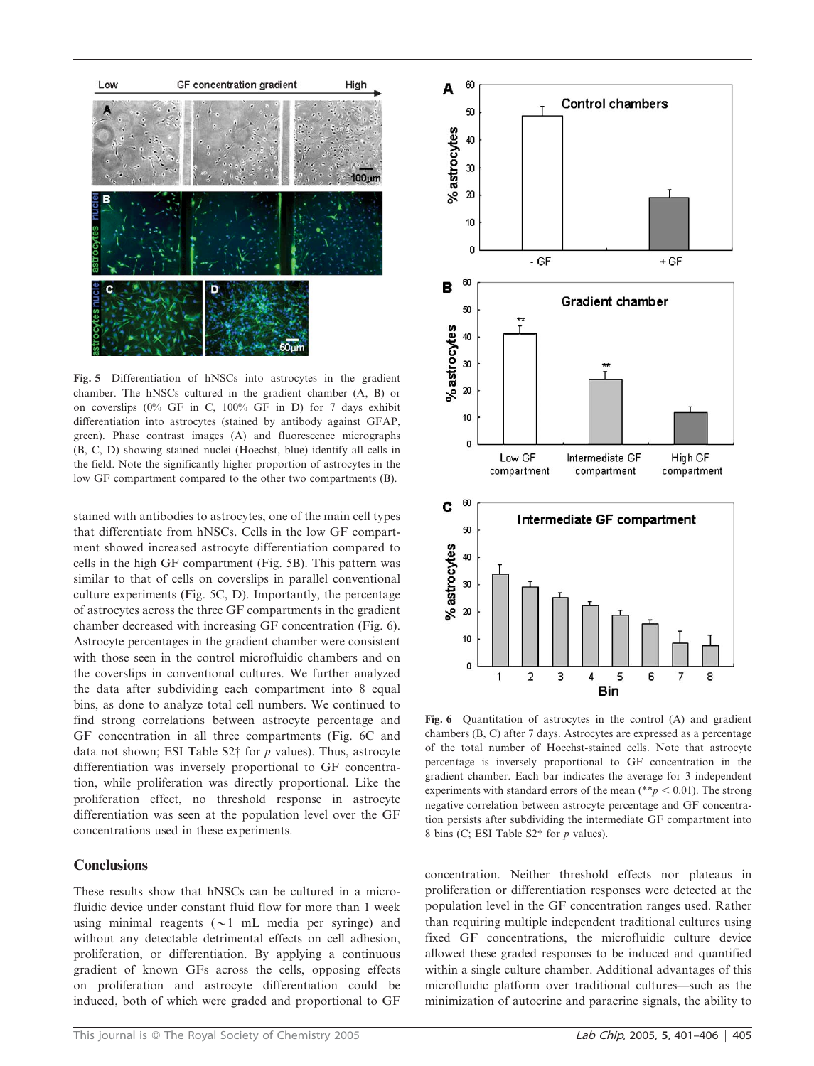

Fig. 5 Differentiation of hNSCs into astrocytes in the gradient chamber. The hNSCs cultured in the gradient chamber (A, B) or on coverslips (0% GF in C, 100% GF in D) for 7 days exhibit differentiation into astrocytes (stained by antibody against GFAP, green). Phase contrast images (A) and fluorescence micrographs (B, C, D) showing stained nuclei (Hoechst, blue) identify all cells in the field. Note the significantly higher proportion of astrocytes in the low GF compartment compared to the other two compartments (B).

stained with antibodies to astrocytes, one of the main cell types that differentiate from hNSCs. Cells in the low GF compartment showed increased astrocyte differentiation compared to cells in the high GF compartment (Fig. 5B). This pattern was similar to that of cells on coverslips in parallel conventional culture experiments (Fig. 5C, D). Importantly, the percentage of astrocytes across the three GF compartments in the gradient chamber decreased with increasing GF concentration (Fig. 6). Astrocyte percentages in the gradient chamber were consistent with those seen in the control microfluidic chambers and on the coverslips in conventional cultures. We further analyzed the data after subdividing each compartment into 8 equal bins, as done to analyze total cell numbers. We continued to find strong correlations between astrocyte percentage and GF concentration in all three compartments (Fig. 6C and data not shown; ESI Table  $S2\dagger$  for p values). Thus, astrocyte differentiation was inversely proportional to GF concentration, while proliferation was directly proportional. Like the proliferation effect, no threshold response in astrocyte differentiation was seen at the population level over the GF concentrations used in these experiments.

# **Conclusions**

These results show that hNSCs can be cultured in a microfluidic device under constant fluid flow for more than 1 week using minimal reagents  $(\sim 1 \text{ mL} \text{ media per syringe})$  and without any detectable detrimental effects on cell adhesion, proliferation, or differentiation. By applying a continuous gradient of known GFs across the cells, opposing effects on proliferation and astrocyte differentiation could be induced, both of which were graded and proportional to GF



Fig. 6 Quantitation of astrocytes in the control (A) and gradient chambers (B, C) after 7 days. Astrocytes are expressed as a percentage of the total number of Hoechst-stained cells. Note that astrocyte percentage is inversely proportional to GF concentration in the gradient chamber. Each bar indicates the average for 3 independent experiments with standard errors of the mean (\*\*p < 0.01). The strong negative correlation between astrocyte percentage and GF concentration persists after subdividing the intermediate GF compartment into 8 bins (C; ESI Table S2 $\dagger$  for p values).

concentration. Neither threshold effects nor plateaus in proliferation or differentiation responses were detected at the population level in the GF concentration ranges used. Rather than requiring multiple independent traditional cultures using fixed GF concentrations, the microfluidic culture device allowed these graded responses to be induced and quantified within a single culture chamber. Additional advantages of this microfluidic platform over traditional cultures—such as the minimization of autocrine and paracrine signals, the ability to